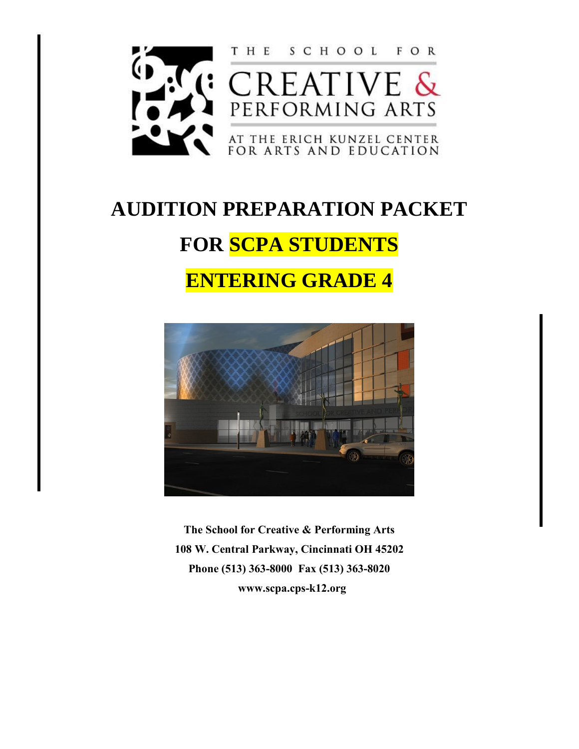

## **AUDITION PREPARATION PACKET**

# **FOR SCPA STUDENTS**

## **ENTERING GRADE 4**



**The School for Creative & Performing Arts 108 W. Central Parkway, Cincinnati OH 45202 Phone (513) 363-8000 Fax (513) 363-8020 www.scpa.cps-k12.org**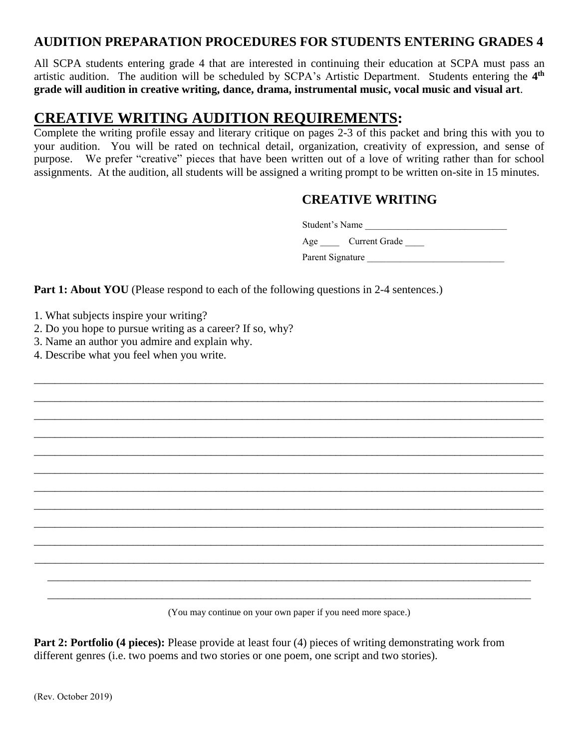#### **AUDITION PREPARATION PROCEDURES FOR STUDENTS ENTERING GRADES 4**

All SCPA students entering grade 4 that are interested in continuing their education at SCPA must pass an artistic audition. The audition will be scheduled by SCPA's Artistic Department. Students entering the 4<sup>th</sup> **grade will audition in creative writing, dance, drama, instrumental music, vocal music and visual art**.

### **CREATIVE WRITING AUDITION REQUIREMENTS:**

Complete the writing profile essay and literary critique on pages 2-3 of this packet and bring this with you to your audition. You will be rated on technical detail, organization, creativity of expression, and sense of purpose. We prefer "creative" pieces that have been written out of a love of writing rather than for school assignments. At the audition, all students will be assigned a writing prompt to be written on-site in 15 minutes.

\_\_\_\_\_\_\_\_\_\_\_\_\_\_\_\_\_\_\_\_\_\_\_\_\_\_\_\_\_\_\_\_\_\_\_\_\_\_\_\_\_\_\_\_\_\_\_\_\_\_\_\_\_\_\_\_\_\_\_\_\_\_\_\_\_\_\_\_\_\_\_\_\_\_\_\_\_\_\_\_\_\_\_\_\_\_\_\_\_\_\_\_\_\_\_\_\_\_ \_\_\_\_\_\_\_\_\_\_\_\_\_\_\_\_\_\_\_\_\_\_\_\_\_\_\_\_\_\_\_\_\_\_\_\_\_\_\_\_\_\_\_\_\_\_\_\_\_\_\_\_\_\_\_\_\_\_\_\_\_\_\_\_\_\_\_\_\_\_\_\_\_\_\_\_\_\_\_\_\_\_\_\_\_\_\_\_\_\_\_\_\_\_\_\_\_\_ \_\_\_\_\_\_\_\_\_\_\_\_\_\_\_\_\_\_\_\_\_\_\_\_\_\_\_\_\_\_\_\_\_\_\_\_\_\_\_\_\_\_\_\_\_\_\_\_\_\_\_\_\_\_\_\_\_\_\_\_\_\_\_\_\_\_\_\_\_\_\_\_\_\_\_\_\_\_\_\_\_\_\_\_\_\_\_\_\_\_\_\_\_\_\_\_\_\_ \_\_\_\_\_\_\_\_\_\_\_\_\_\_\_\_\_\_\_\_\_\_\_\_\_\_\_\_\_\_\_\_\_\_\_\_\_\_\_\_\_\_\_\_\_\_\_\_\_\_\_\_\_\_\_\_\_\_\_\_\_\_\_\_\_\_\_\_\_\_\_\_\_\_\_\_\_\_\_\_\_\_\_\_\_\_\_\_\_\_\_\_\_\_\_\_\_\_ \_\_\_\_\_\_\_\_\_\_\_\_\_\_\_\_\_\_\_\_\_\_\_\_\_\_\_\_\_\_\_\_\_\_\_\_\_\_\_\_\_\_\_\_\_\_\_\_\_\_\_\_\_\_\_\_\_\_\_\_\_\_\_\_\_\_\_\_\_\_\_\_\_\_\_\_\_\_\_\_\_\_\_\_\_\_\_\_\_\_\_\_\_\_\_\_\_\_ \_\_\_\_\_\_\_\_\_\_\_\_\_\_\_\_\_\_\_\_\_\_\_\_\_\_\_\_\_\_\_\_\_\_\_\_\_\_\_\_\_\_\_\_\_\_\_\_\_\_\_\_\_\_\_\_\_\_\_\_\_\_\_\_\_\_\_\_\_\_\_\_\_\_\_\_\_\_\_\_\_\_\_\_\_\_\_\_\_\_\_\_\_\_\_\_\_\_ \_\_\_\_\_\_\_\_\_\_\_\_\_\_\_\_\_\_\_\_\_\_\_\_\_\_\_\_\_\_\_\_\_\_\_\_\_\_\_\_\_\_\_\_\_\_\_\_\_\_\_\_\_\_\_\_\_\_\_\_\_\_\_\_\_\_\_\_\_\_\_\_\_\_\_\_\_\_\_\_\_\_\_\_\_\_\_\_\_\_\_\_\_\_\_\_\_\_ \_\_\_\_\_\_\_\_\_\_\_\_\_\_\_\_\_\_\_\_\_\_\_\_\_\_\_\_\_\_\_\_\_\_\_\_\_\_\_\_\_\_\_\_\_\_\_\_\_\_\_\_\_\_\_\_\_\_\_\_\_\_\_\_\_\_\_\_\_\_\_\_\_\_\_\_\_\_\_\_\_\_\_\_\_\_\_\_\_\_\_\_\_\_\_\_\_\_ \_\_\_\_\_\_\_\_\_\_\_\_\_\_\_\_\_\_\_\_\_\_\_\_\_\_\_\_\_\_\_\_\_\_\_\_\_\_\_\_\_\_\_\_\_\_\_\_\_\_\_\_\_\_\_\_\_\_\_\_\_\_\_\_\_\_\_\_\_\_\_\_\_\_\_\_\_\_\_\_\_\_\_\_\_\_\_\_\_\_\_\_\_\_\_\_\_\_ \_\_\_\_\_\_\_\_\_\_\_\_\_\_\_\_\_\_\_\_\_\_\_\_\_\_\_\_\_\_\_\_\_\_\_\_\_\_\_\_\_\_\_\_\_\_\_\_\_\_\_\_\_\_\_\_\_\_\_\_\_\_\_\_\_\_\_\_\_\_\_\_\_\_\_\_\_\_\_\_\_\_\_\_\_\_\_\_\_\_\_\_\_\_\_\_\_\_ \_\_\_\_\_\_\_\_\_\_\_\_\_\_\_\_\_\_\_\_\_\_\_\_\_\_\_\_\_\_\_\_\_\_\_\_\_\_\_\_\_\_\_\_\_\_\_\_\_\_\_\_\_\_\_\_\_\_\_\_\_\_\_\_\_\_\_\_\_\_\_\_\_\_\_\_\_\_\_\_\_\_\_\_\_\_\_\_\_\_\_\_\_\_\_\_\_\_ \_\_\_\_\_\_\_\_\_\_\_\_\_\_\_\_\_\_\_\_\_\_\_\_\_\_\_\_\_\_\_\_\_\_\_\_\_\_\_\_\_\_\_\_\_\_\_\_\_\_\_\_\_\_\_\_\_\_\_\_\_\_\_\_\_\_\_\_\_\_\_\_\_\_\_\_\_\_\_\_\_\_\_\_\_\_\_\_\_\_\_\_\_

#### **CREATIVE WRITING**

Student's Name

Age Current Grade

Parent Signature

Part 1: About YOU (Please respond to each of the following questions in 2-4 sentences.)

1. What subjects inspire your writing?

2. Do you hope to pursue writing as a career? If so, why?

3. Name an author you admire and explain why.

4. Describe what you feel when you write.

\_\_\_\_\_\_\_\_\_\_\_\_\_\_\_\_\_\_\_\_\_\_\_\_\_\_\_\_\_\_\_\_\_\_\_\_\_\_\_\_\_\_\_\_\_\_\_\_\_\_\_\_\_\_\_\_\_\_\_\_\_\_\_\_\_\_\_\_\_\_\_\_\_\_\_\_\_\_\_\_\_\_\_\_\_\_\_\_\_\_\_\_\_ (You may continue on your own paper if you need more space.)

**Part 2: Portfolio (4 pieces):** Please provide at least four (4) pieces of writing demonstrating work from different genres (i.e. two poems and two stories or one poem, one script and two stories).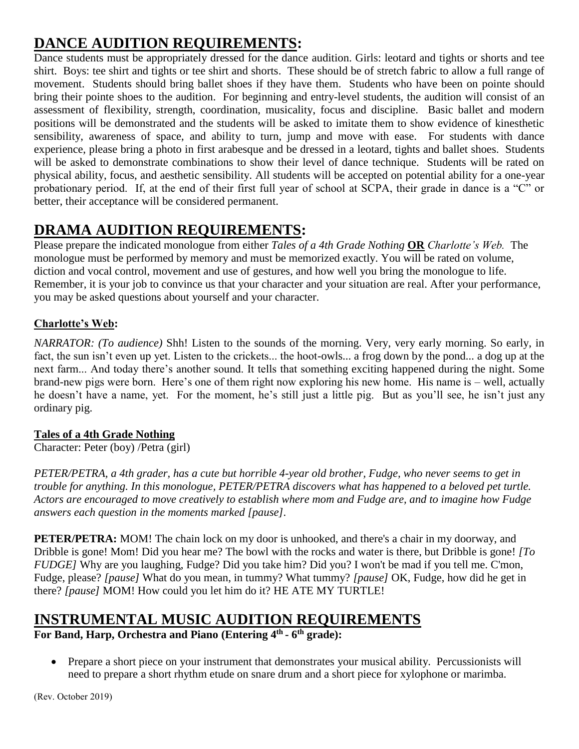## **DANCE AUDITION REQUIREMENTS:**

Dance students must be appropriately dressed for the dance audition. Girls: leotard and tights or shorts and tee shirt. Boys: tee shirt and tights or tee shirt and shorts. These should be of stretch fabric to allow a full range of movement. Students should bring ballet shoes if they have them. Students who have been on pointe should bring their pointe shoes to the audition. For beginning and entry-level students, the audition will consist of an assessment of flexibility, strength, coordination, musicality, focus and discipline. Basic ballet and modern positions will be demonstrated and the students will be asked to imitate them to show evidence of kinesthetic sensibility, awareness of space, and ability to turn, jump and move with ease. For students with dance experience, please bring a photo in first arabesque and be dressed in a leotard, tights and ballet shoes. Students will be asked to demonstrate combinations to show their level of dance technique. Students will be rated on physical ability, focus, and aesthetic sensibility. All students will be accepted on potential ability for a one-year probationary period. If, at the end of their first full year of school at SCPA, their grade in dance is a "C" or better, their acceptance will be considered permanent.

## **DRAMA AUDITION REQUIREMENTS:**

Please prepare the indicated monologue from either *Tales of a 4th Grade Nothing* **OR** *Charlotte's Web.* The monologue must be performed by memory and must be memorized exactly. You will be rated on volume, diction and vocal control, movement and use of gestures, and how well you bring the monologue to life. Remember, it is your job to convince us that your character and your situation are real. After your performance, you may be asked questions about yourself and your character.

#### **Charlotte's Web:**

*NARRATOR: (To audience)* Shh! Listen to the sounds of the morning. Very, very early morning. So early, in fact, the sun isn't even up yet. Listen to the crickets... the hoot-owls... a frog down by the pond... a dog up at the next farm... And today there's another sound. It tells that something exciting happened during the night. Some brand-new pigs were born. Here's one of them right now exploring his new home. His name is – well, actually he doesn't have a name, yet. For the moment, he's still just a little pig. But as you'll see, he isn't just any ordinary pig.

#### **Tales of a 4th Grade Nothing**

Character: Peter (boy) /Petra (girl)

*PETER/PETRA, a 4th grader, has a cute but horrible 4-year old brother, Fudge, who never seems to get in trouble for anything. In this monologue, PETER/PETRA discovers what has happened to a beloved pet turtle. Actors are encouraged to move creatively to establish where mom and Fudge are, and to imagine how Fudge answers each question in the moments marked [pause].*

**PETER/PETRA:** MOM! The chain lock on my door is unhooked, and there's a chair in my doorway, and Dribble is gone! Mom! Did you hear me? The bowl with the rocks and water is there, but Dribble is gone! *[To FUDGE]* Why are you laughing, Fudge? Did you take him? Did you? I won't be mad if you tell me. C'mon, Fudge, please? *[pause]* What do you mean, in tummy? What tummy? *[pause]* OK, Fudge, how did he get in there? *[pause]* MOM! How could you let him do it? HE ATE MY TURTLE!

## **INSTRUMENTAL MUSIC AUDITION REQUIREMENTS**

**For Band, Harp, Orchestra and Piano (Entering 4 th - 6 th grade):**

• Prepare a short piece on your instrument that demonstrates your musical ability. Percussionists will need to prepare a short rhythm etude on snare drum and a short piece for xylophone or marimba.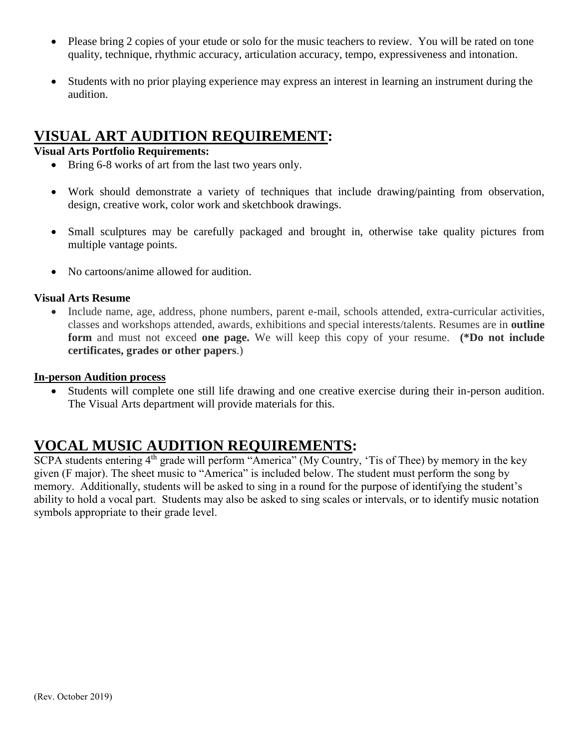- Please bring 2 copies of your etude or solo for the music teachers to review. You will be rated on tone quality, technique, rhythmic accuracy, articulation accuracy, tempo, expressiveness and intonation.
- Students with no prior playing experience may express an interest in learning an instrument during the audition.

### **VISUAL ART AUDITION REQUIREMENT:**

#### **Visual Arts Portfolio Requirements:**

- Bring 6-8 works of art from the last two years only.
- Work should demonstrate a variety of techniques that include drawing/painting from observation, design, creative work, color work and sketchbook drawings.
- Small sculptures may be carefully packaged and brought in, otherwise take quality pictures from multiple vantage points.
- No cartoons/anime allowed for audition.

#### **Visual Arts Resume**

 Include name, age, address, phone numbers, parent e-mail, schools attended, extra-curricular activities, classes and workshops attended, awards, exhibitions and special interests/talents. Resumes are in **outline form** and must not exceed **one page.** We will keep this copy of your resume. **(\*Do not include certificates, grades or other papers**.)

#### **In-person Audition process**

 Students will complete one still life drawing and one creative exercise during their in-person audition. The Visual Arts department will provide materials for this.

### **VOCAL MUSIC AUDITION REQUIREMENTS:**

SCPA students entering 4<sup>th</sup> grade will perform "America" (My Country, 'Tis of Thee) by memory in the key given (F major). The sheet music to "America" is included below. The student must perform the song by memory. Additionally, students will be asked to sing in a round for the purpose of identifying the student's ability to hold a vocal part. Students may also be asked to sing scales or intervals, or to identify music notation symbols appropriate to their grade level.